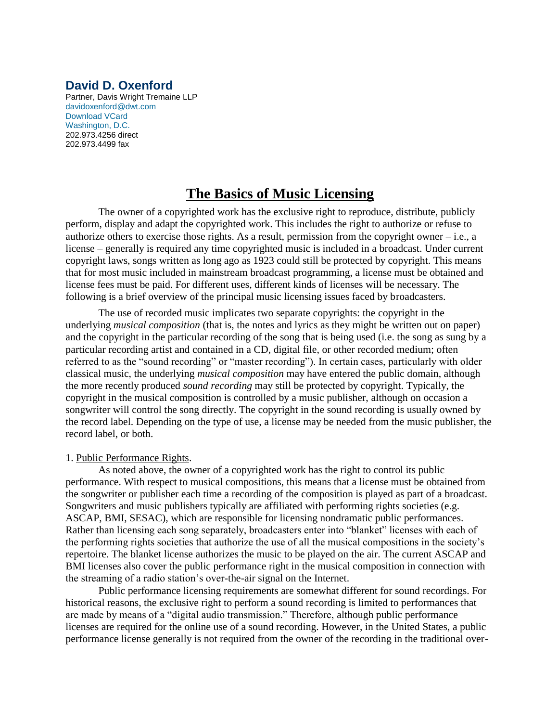## **David D. Oxenford**

Partner, Davis Wright Tremaine LLP [davidoxenford@dwt.com](javascript:mailTo(%22davidoxenford@dwt.com%22)) [Download VCard](javascript:vCard(%22../webportal/perform.v?obj=ve_oid:poid:Z1tOl9NPl0LPl17RbfpCsOJE&action=vCard%22)) [Washington, D.C.](http://www.dwt.com/Offices/WashingtonDC) 202.973.4256 direct 202.973.4499 fax

# **The Basics of Music Licensing**

The owner of a copyrighted work has the exclusive right to reproduce, distribute, publicly perform, display and adapt the copyrighted work. This includes the right to authorize or refuse to authorize others to exercise those rights. As a result, permission from the copyright owner – i.e., a license – generally is required any time copyrighted music is included in a broadcast. Under current copyright laws, songs written as long ago as 1923 could still be protected by copyright. This means that for most music included in mainstream broadcast programming, a license must be obtained and license fees must be paid. For different uses, different kinds of licenses will be necessary. The following is a brief overview of the principal music licensing issues faced by broadcasters.

The use of recorded music implicates two separate copyrights: the copyright in the underlying *musical composition* (that is, the notes and lyrics as they might be written out on paper) and the copyright in the particular recording of the song that is being used (i.e. the song as sung by a particular recording artist and contained in a CD, digital file, or other recorded medium; often referred to as the "sound recording" or "master recording"). In certain cases, particularly with older classical music, the underlying *musical composition* may have entered the public domain, although the more recently produced *sound recording* may still be protected by copyright. Typically, the copyright in the musical composition is controlled by a music publisher, although on occasion a songwriter will control the song directly. The copyright in the sound recording is usually owned by the record label. Depending on the type of use, a license may be needed from the music publisher, the record label, or both.

#### 1. Public Performance Rights.

As noted above, the owner of a copyrighted work has the right to control its public performance. With respect to musical compositions, this means that a license must be obtained from the songwriter or publisher each time a recording of the composition is played as part of a broadcast. Songwriters and music publishers typically are affiliated with performing rights societies (e.g. ASCAP, BMI, SESAC), which are responsible for licensing nondramatic public performances. Rather than licensing each song separately, broadcasters enter into "blanket" licenses with each of the performing rights societies that authorize the use of all the musical compositions in the society's repertoire. The blanket license authorizes the music to be played on the air. The current ASCAP and BMI licenses also cover the public performance right in the musical composition in connection with the streaming of a radio station's over-the-air signal on the Internet.

Public performance licensing requirements are somewhat different for sound recordings. For historical reasons, the exclusive right to perform a sound recording is limited to performances that are made by means of a "digital audio transmission." Therefore, although public performance licenses are required for the online use of a sound recording. However, in the United States, a public performance license generally is not required from the owner of the recording in the traditional over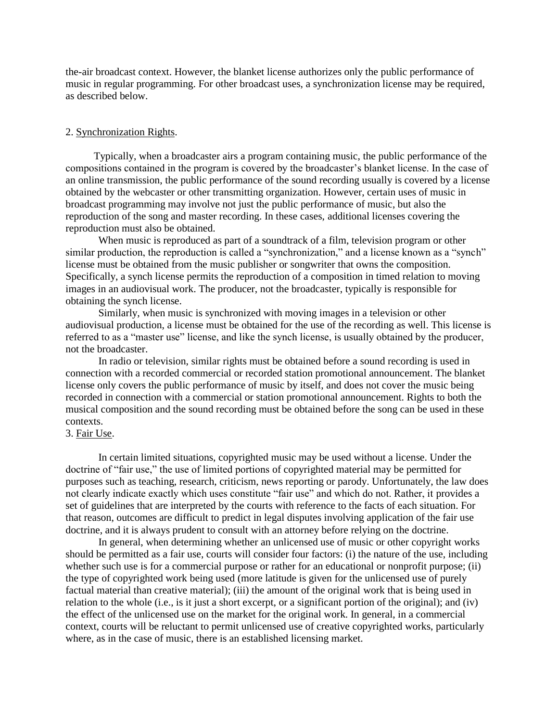the-air broadcast context. However, the blanket license authorizes only the public performance of music in regular programming. For other broadcast uses, a synchronization license may be required, as described below.

#### 2. Synchronization Rights.

Typically, when a broadcaster airs a program containing music, the public performance of the compositions contained in the program is covered by the broadcaster's blanket license. In the case of an online transmission, the public performance of the sound recording usually is covered by a license obtained by the webcaster or other transmitting organization. However, certain uses of music in broadcast programming may involve not just the public performance of music, but also the reproduction of the song and master recording. In these cases, additional licenses covering the reproduction must also be obtained.

When music is reproduced as part of a soundtrack of a film, television program or other similar production, the reproduction is called a "synchronization," and a license known as a "synch" license must be obtained from the music publisher or songwriter that owns the composition. Specifically, a synch license permits the reproduction of a composition in timed relation to moving images in an audiovisual work. The producer, not the broadcaster, typically is responsible for obtaining the synch license.

Similarly, when music is synchronized with moving images in a television or other audiovisual production, a license must be obtained for the use of the recording as well. This license is referred to as a "master use" license, and like the synch license, is usually obtained by the producer, not the broadcaster.

In radio or television, similar rights must be obtained before a sound recording is used in connection with a recorded commercial or recorded station promotional announcement. The blanket license only covers the public performance of music by itself, and does not cover the music being recorded in connection with a commercial or station promotional announcement. Rights to both the musical composition and the sound recording must be obtained before the song can be used in these contexts.

### 3. Fair Use.

In certain limited situations, copyrighted music may be used without a license. Under the doctrine of "fair use," the use of limited portions of copyrighted material may be permitted for purposes such as teaching, research, criticism, news reporting or parody. Unfortunately, the law does not clearly indicate exactly which uses constitute "fair use" and which do not. Rather, it provides a set of guidelines that are interpreted by the courts with reference to the facts of each situation. For that reason, outcomes are difficult to predict in legal disputes involving application of the fair use doctrine, and it is always prudent to consult with an attorney before relying on the doctrine.

In general, when determining whether an unlicensed use of music or other copyright works should be permitted as a fair use, courts will consider four factors: (i) the nature of the use, including whether such use is for a commercial purpose or rather for an educational or nonprofit purpose; (ii) the type of copyrighted work being used (more latitude is given for the unlicensed use of purely factual material than creative material); (iii) the amount of the original work that is being used in relation to the whole (i.e., is it just a short excerpt, or a significant portion of the original); and (iv) the effect of the unlicensed use on the market for the original work. In general, in a commercial context, courts will be reluctant to permit unlicensed use of creative copyrighted works, particularly where, as in the case of music, there is an established licensing market.